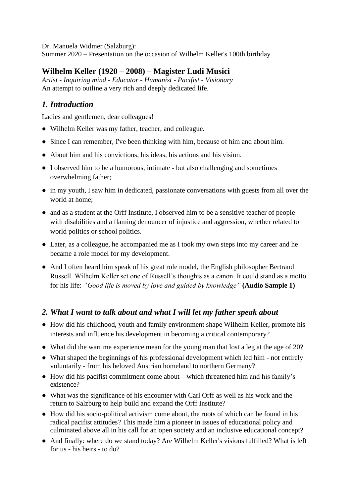Dr. Manuela Widmer (Salzburg):

Summer 2020 – Presentation on the occasion of Wilhelm Keller's 100th birthday

# **Wilhelm Keller (1920 – 2008) – Magister Ludi Musici**

*Artist - Inquiring mind - Educator - Humanist - Pacifist - Visionary* An attempt to outline a very rich and deeply dedicated life.

# *1. Introduction*

Ladies and gentlemen, dear colleagues!

- Wilhelm Keller was my father, teacher, and colleague.
- Since I can remember, I've been thinking with him, because of him and about him.
- About him and his convictions, his ideas, his actions and his vision.
- I observed him to be a humorous, intimate but also challenging and sometimes overwhelming father;
- in my youth, I saw him in dedicated, passionate conversations with guests from all over the world at home;
- and as a student at the Orff Institute, I observed him to be a sensitive teacher of people with disabilities and a flaming denouncer of injustice and aggression, whether related to world politics or school politics.
- Later, as a colleague, he accompanied me as I took my own steps into my career and he became a role model for my development.
- And I often heard him speak of his great role model, the English philosopher Bertrand Russell. Wilhelm Keller set one of Russell's thoughts as a canon. It could stand as a motto for his life: *"Good life is moved by love and guided by knowledge"* **(Audio Sample 1)**

## *2. What I want to talk about and what I will let my father speak about*

- How did his childhood, youth and family environment shape Wilhelm Keller, promote his interests and influence his development in becoming a critical contemporary?
- What did the wartime experience mean for the young man that lost a leg at the age of 20?
- What shaped the beginnings of his professional development which led him not entirely voluntarily - from his beloved Austrian homeland to northern Germany?
- How did his pacifist commitment come about—which threatened him and his family's existence?
- What was the significance of his encounter with Carl Orff as well as his work and the return to Salzburg to help build and expand the Orff Institute?
- How did his socio-political activism come about, the roots of which can be found in his radical pacifist attitudes? This made him a pioneer in issues of educational policy and culminated above all in his call for an open society and an inclusive educational concept?
- And finally: where do we stand today? Are Wilhelm Keller's visions fulfilled? What is left for us - his heirs - to  $d\alpha$ ?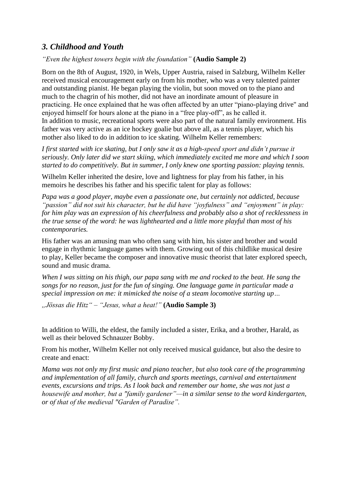### *3. Childhood and Youth*

*"Even the highest towers begin with the foundation"* **(Audio Sample 2)**

Born on the 8th of August, 1920, in Wels, Upper Austria, raised in Salzburg, Wilhelm Keller received musical encouragement early on from his mother, who was a very talented painter and outstanding pianist. He began playing the violin, but soon moved on to the piano and much to the chagrin of his mother, did not have an inordinate amount of pleasure in practicing. He once explained that he was often affected by an utter "piano-playing drive" and enjoyed himself for hours alone at the piano in a "free play-off", as he called it. In addition to music, recreational sports were also part of the natural family environment. His father was very active as an ice hockey goalie but above all, as a tennis player, which his mother also liked to do in addition to ice skating. Wilhelm Keller remembers:

*I first started with ice skating, but I only saw it as a high-speed sport and didn't pursue it seriously. Only later did we start skiing, which immediately excited me more and which I soon started to do competitively. But in summer, I only knew one sporting passion: playing tennis.*

Wilhelm Keller inherited the desire, love and lightness for play from his father, in his memoirs he describes his father and his specific talent for play as follows:

*Papa was a good player, maybe even a passionate one, but certainly not addicted, because "passion" did not suit his character, but he did have "joyfulness" and "enjoyment" in play: for him play was an expression of his cheerfulness and probably also a shot of recklessness in the true sense of the word: he was lighthearted and a little more playful than most of his contemporaries.*

His father was an amusing man who often sang with him, his sister and brother and would engage in rhythmic language games with them. Growing out of this childlike musical desire to play, Keller became the composer and innovative music theorist that later explored speech, sound and music drama.

*When I was sitting on his thigh, our papa sang with me and rocked to the beat. He sang the songs for no reason, just for the fun of singing. One language game in particular made a special impression on me: it mimicked the noise of a steam locomotive starting up…*

*"Jössas die Hitz" – "Jesus, what a heat!"* **(Audio Sample 3)** 

In addition to Willi, the eldest, the family included a sister, Erika, and a brother, Harald, as well as their beloved Schnauzer Bobby.

From his mother, Wilhelm Keller not only received musical guidance, but also the desire to create and enact:

*Mama was not only my first music and piano teacher, but also took care of the programming and implementation of all family, church and sports meetings, carnival and entertainment events, excursions and trips. As I look back and remember our home, she was not just a housewife and mother, but a "family gardener"—in a similar sense to the word kindergarten, or of that of the medieval "Garden of Paradise".*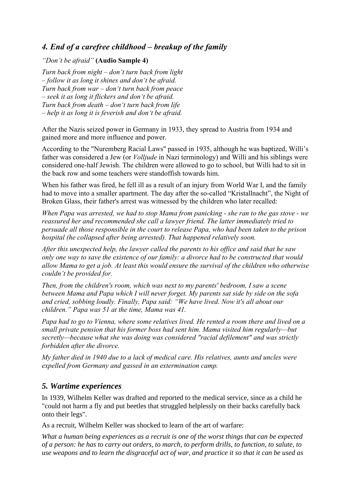# *4. End of a carefree childhood – breakup of the family*

#### *"Don't be afraid"* **(Audio Sample 4)**

*Turn back from night – don't turn back from light – follow it as long it shines and don't be afraid. Turn back from war – don't turn back from peace – seek it as long it flickers and don't be afraid. Turn back from death – don't turn back from life – help it as long it is feverish and don't be afraid.* 

After the Nazis seized power in Germany in 1933, they spread to Austria from 1934 and gained more and more influence and power.

According to the "Nuremberg Racial Laws" passed in 1935, although he was baptized, Willi's father was considered a Jew (or *Volljude* in Nazi terminology) and Willi and his siblings were considered one-half Jewish. The children were allowed to go to school, but Willi had to sit in the back row and some teachers were standoffish towards him.

When his father was fired, he fell ill as a result of an injury from World War I, and the family had to move into a smaller apartment. The day after the so-called "Kristallnacht", the Night of Broken Glass, their father's arrest was witnessed by the children who later recalled:

*When Papa was arrested, we had to stop Mama from panicking - she ran to the gas stove - we reassured her and recommended she call a lawyer friend. The latter immediately tried to persuade all those responsible in the court to release Papa, who had been taken to the prison hospital (he collapsed after being arrested). That happened relatively soon.*

*After this unexpected help, the lawyer called the parents to his office and said that he saw only one way to save the existence of our family: a divorce had to be constructed that would allow Mama to get a job. At least this would ensure the survival of the children who otherwise couldn't be provided for.*

*Then, from the children's room, which was next to my parents' bedroom, I saw a scene between Mama and Papa which I will never forget. My parents sat side by side on the sofa and cried, sobbing loudly. Finally, Papa said: "We have lived. Now it's all about our children." Papa was 51 at the time, Mama was 41.*

*Papa had to go to Vienna, where some relatives lived. He rented a room there and lived on a small private pension that his former boss had sent him. Mama visited him regularly—but secretly—because what she was doing was considered "racial defilement" and was strictly forbidden after the divorce.*

*My father died in 1940 due to a lack of medical care. His relatives, aunts and uncles were expelled from Germany and gassed in an extermination camp.*

## *5. Wartime experiences*

In 1939, Wilhelm Keller was drafted and reported to the medical service, since as a child he "could not harm a fly and put beetles that struggled helplessly on their backs carefully back onto their legs".

As a recruit, Wilhelm Keller was shocked to learn of the art of warfare:

*What a human being experiences as a recruit is one of the worst things that can be expected of a person: he has to carry out orders, to march, to perform drills, to function, to salute, to use weapons and to learn the disgraceful act of war, and practice it so that it can be used as*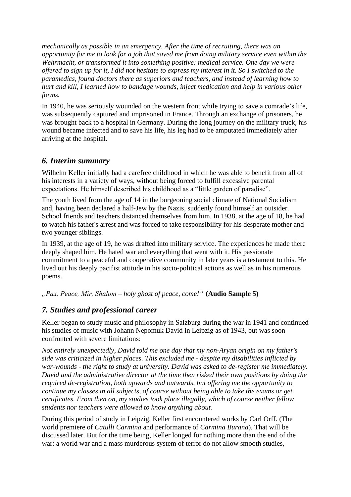*mechanically as possible in an emergency. After the time of recruiting, there was an opportunity for me to look for a job that saved me from doing military service even within the Wehrmacht, or transformed it into something positive: medical service. One day we were offered to sign up for it, I did not hesitate to express my interest in it. So I switched to the paramedics, found doctors there as superiors and teachers, and instead of learning how to hurt and kill, I learned how to bandage wounds, inject medication and help in various other forms.*

In 1940, he was seriously wounded on the western front while trying to save a comrade's life, was subsequently captured and imprisoned in France. Through an exchange of prisoners, he was brought back to a hospital in Germany. During the long journey on the military truck, his wound became infected and to save his life, his leg had to be amputated immediately after arriving at the hospital.

## *6. Interim summary*

Wilhelm Keller initially had a carefree childhood in which he was able to benefit from all of his interests in a variety of ways, without being forced to fulfill excessive parental expectations. He himself described his childhood as a "little garden of paradise".

The youth lived from the age of 14 in the burgeoning social climate of National Socialism and, having been declared a half-Jew by the Nazis, suddenly found himself an outsider. School friends and teachers distanced themselves from him. In 1938, at the age of 18, he had to watch his father's arrest and was forced to take responsibility for his desperate mother and two younger siblings.

In 1939, at the age of 19, he was drafted into military service. The experiences he made there deeply shaped him. He hated war and everything that went with it. His passionate commitment to a peaceful and cooperative community in later years is a testament to this. He lived out his deeply pacifist attitude in his socio-political actions as well as in his numerous poems.

*"Pax, Peace, Mir, Shalom – holy ghost of peace, come!"* **(Audio Sample 5)** 

## *7. Studies and professional career*

Keller began to study music and philosophy in Salzburg during the war in 1941 and continued his studies of music with Johann Nepomuk David in Leipzig as of 1943, but was soon confronted with severe limitations:

*Not entirely unexpectedly, David told me one day that my non-Aryan origin on my father's side was criticized in higher places. This excluded me - despite my disabilities inflicted by war-wounds - the right to study at university. David was asked to de-register me immediately. David and the administrative director at the time then risked their own positions by doing the required de-registration, both upwards and outwards, but offering me the opportunity to continue my classes in all subjects, of course without being able to take the exams or get certificates. From then on, my studies took place illegally, which of course neither fellow students nor teachers were allowed to know anything about.*

During this period of study in Leipzig, Keller first encountered works by Carl Orff. (The world premiere of *Catulli Carmina* and performance of *Carmina Burana*). That will be discussed later. But for the time being, Keller longed for nothing more than the end of the war: a world war and a mass murderous system of terror do not allow smooth studies,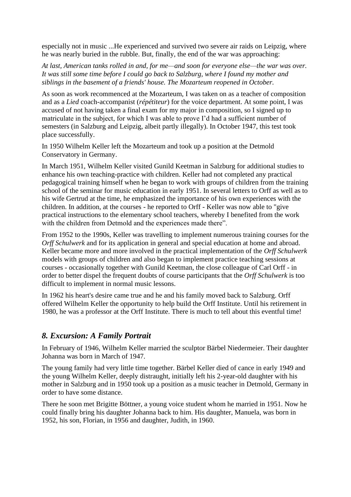especially not in music ...He experienced and survived two severe air raids on Leipzig, where he was nearly buried in the rubble. But, finally, the end of the war was approaching:

*At last, American tanks rolled in and, for me—and soon for everyone else—the war was over. It was still some time before I could go back to Salzburg, where I found my mother and siblings in the basement of a friends' house. The Mozarteum reopened in October.*

As soon as work recommenced at the Mozarteum, I was taken on as a teacher of composition and as a *Lied* coach-accompanist (*répétiteur*) for the voice department. At some point, I was accused of not having taken a final exam for my major in composition, so I signed up to matriculate in the subject, for which I was able to prove I'd had a sufficient number of semesters (in Salzburg and Leipzig, albeit partly illegally). In October 1947, this test took place successfully.

In 1950 Wilhelm Keller left the Mozarteum and took up a position at the Detmold Conservatory in Germany.

In March 1951, Wilhelm Keller visited Gunild Keetman in Salzburg for additional studies to enhance his own teaching-practice with children. Keller had not completed any practical pedagogical training himself when he began to work with groups of children from the training school of the seminar for music education in early 1951. In several letters to Orff as well as to his wife Gertrud at the time, he emphasized the importance of his own experiences with the children. In addition, at the courses - he reported to Orff - Keller was now able to "give practical instructions to the elementary school teachers, whereby I benefited from the work with the children from Detmold and the experiences made there".

From 1952 to the 1990s, Keller was travelling to implement numerous training courses for the *Orff Schulwerk* and for its application in general and special education at home and abroad. Keller became more and more involved in the practical implementation of the *Orff Schulwerk* models with groups of children and also began to implement practice teaching sessions at courses - occasionally together with Gunild Keetman, the close colleague of Carl Orff - in order to better dispel the frequent doubts of course participants that the *Orff Schulwerk* is too difficult to implement in normal music lessons.

In 1962 his heart's desire came true and he and his family moved back to Salzburg. Orff offered Wilhelm Keller the opportunity to help build the Orff Institute. Until his retirement in 1980, he was a professor at the Orff Institute. There is much to tell about this eventful time!

#### *8. Excursion: A Family Portrait*

In February of 1946, Wilhelm Keller married the sculptor Bärbel Niedermeier. Their daughter Johanna was born in March of 1947.

The young family had very little time together. Bärbel Keller died of cance in early 1949 and the young Wilhelm Keller, deeply distraught, initially left his 2-year-old daughter with his mother in Salzburg and in 1950 took up a position as a music teacher in Detmold, Germany in order to have some distance.

There he soon met Brigitte Böttner, a young voice student whom he married in 1951. Now he could finally bring his daughter Johanna back to him. His daughter, Manuela, was born in 1952, his son, Florian, in 1956 and daughter, Judith, in 1960.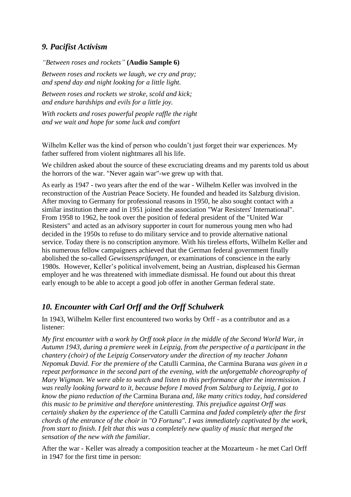# *9. Pacifist Activism*

*"Between roses and rockets"* **(Audio Sample 6)**

*Between roses and rockets we laugh, we cry and pray; and spend day and night looking for a little light.*

*Between roses and rockets we stroke, scold and kick; and endure hardships and evils for a little joy.*

*With rockets and roses powerful people raffle the right and we wait and hope for some luck and comfort*

Wilhelm Keller was the kind of person who couldn't just forget their war experiences. My father suffered from violent nightmares all his life.

We children asked about the source of these excruciating dreams and my parents told us about the horrors of the war. "Never again war"-we grew up with that.

As early as 1947 - two years after the end of the war - Wilhelm Keller was involved in the reconstruction of the Austrian Peace Society. He founded and headed its Salzburg division. After moving to Germany for professional reasons in 1950, he also sought contact with a similar institution there and in 1951 joined the association "War Resisters' International". From 1958 to 1962, he took over the position of federal president of the "United War Resisters" and acted as an advisory supporter in court for numerous young men who had decided in the 1950s to refuse to do military service and to provide alternative national service. Today there is no conscription anymore. With his tireless efforts, Wilhelm Keller and his numerous fellow campaigners achieved that the German federal government finally abolished the so-called *Gewissensprüfungen*, or examinations of conscience in the early 1980s. However, Keller's political involvement, being an Austrian, displeased his German employer and he was threatened with immediate dismissal. He found out about this threat early enough to be able to accept a good job offer in another German federal state.

## *10. Encounter with Carl Orff and the Orff Schulwerk*

In 1943, Wilhelm Keller first encountered two works by Orff - as a contributor and as a listener:

*My first encounter with a work by Orff took place in the middle of the Second World War, in Autumn 1943, during a premiere week in Leipzig, from the perspective of a participant in the chantery (choir) of the Leipzig Conservatory under the direction of my teacher Johann Nepomuk David. For the premiere of the* Catulli Carmina*, the* Carmina Burana *was given in a repeat performance in the second part of the evening, with the unforgettable choreography of Mary Wigman. We were able to watch and listen to this performance after the intermission. I was really looking forward to it, because before I moved from Salzburg to Leipzig, I got to know the piano reduction of the* Carmina Burana *and, like many critics today, had considered this music to be primitive and therefore uninteresting. This prejudice against Orff was certainly shaken by the experience of the* Catulli Carmina *and faded completely after the first chords of the entrance of the choir in "O Fortuna". I was immediately captivated by the work, from start to finish. I felt that this was a completely new quality of music that merged the sensation of the new with the familiar.*

After the war - Keller was already a composition teacher at the Mozarteum - he met Carl Orff in 1947 for the first time in person: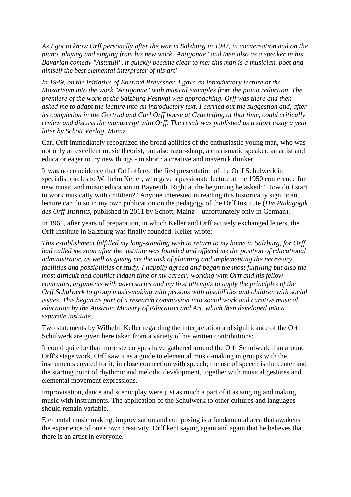*As I got to know Orff personally after the war in Salzburg in 1947, in conversation and on the piano, playing and singing from his new work "Antigonae" and then also as a speaker in his Bavarian comedy "Astutuli", it quickly became clear to me: this man is a musician, poet and himself the best elemental interpreter of his art!*

*In 1949, on the initiative of Eberard Preussner, I gave an introductory lecture at the Mozarteum into the work "Antigonae" with musical examples from the piano reduction. The premiere of the work at the Salzburg Festival was approaching. Orff was there and then asked me to adapt the lecture into an introductory text. I carried out the suggestion and, after its completion in the Gertrud and Carl Orff house at Graefelfing at that time, could critically review and discuss the manuscript with Orff. The result was published as a short essay a year later by Schott Verlag, Mainz.*

Carl Orff immediately recognized the broad abilities of the enthusiastic young man, who was not only an excellent music theorist, but also razor-sharp, a charismatic speaker, an artist and educator eager to try new things - in short: a creative and maverick thinker.

It was no coincidence that Orff offered the first presentation of the Orff Schulwerk in specialist circles to Wilhelm Keller, who gave a passionate lecture at the 1950 conference for new music and music education in Bayreuth. Right at the beginning he asked: "How do I start to work musically with children?" Anyone interested in reading this historically significant lecture can do so in my own publication on the pedagogy of the Orff Institute (*Die Pädagogik des Orff-Instituts*, published in 2011 by Schott, Mainz – unfortunately only in German).

In 1961, after years of preparation, in which Keller and Orff actively exchanged letters, the Orff Institute in Salzburg was finally founded. Keller wrote:

*This establishment fulfilled my long-standing wish to return to my home in Salzburg, for Orff had called me soon after the institute was founded and offered me the position of educational administrator, as well as giving me the task of planning and implementing the necessary facilities and possibilities of study. I happily agreed and began the most fulfilling but also the most difficult and conflict-ridden time of my career: working with Orff and his fellow comrades, arguments with adversaries and my first attempts to apply the principles of the Orff Schulwerk to group music-making with persons with disabilities and children with social issues. This began as part of a research commission into social work and curative musical education by the Austrian Ministry of Education and Art, which then developed into a separate institute.*

Two statements by Wilhelm Keller regarding the interpretation and significance of the Orff Schulwerk are given here taken from a variety of his written contributions:

It could quite be that more stereotypes have gathered around the Orff Schulwerk than around Orff's stage work. Orff saw it as a guide to elemental music-making in groups with the instruments created for it, in close connection with speech; the use of speech is the center and the starting point of rhythmic and melodic development, together with musical gestures and elemental movement expressions.

Improvisation, dance and scenic play were just as much a part of it as singing and making music with instruments. The application of the Schulwerk to other cultures and languages should remain variable.

Elemental music making, improvisation and composing is a fundamental area that awakens the experience of one's own creativity. Orff kept saying again and again that he believes that there is an artist in everyone.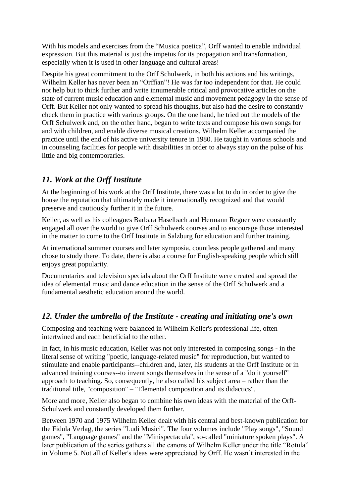With his models and exercises from the "Musica poetica", Orff wanted to enable individual expression. But this material is just the impetus for its propagation and transformation, especially when it is used in other language and cultural areas!

Despite his great commitment to the Orff Schulwerk, in both his actions and his writings, Wilhelm Keller has never been an "Orffian"! He was far too independent for that. He could not help but to think further and write innumerable critical and provocative articles on the state of current music education and elemental music and movement pedagogy in the sense of Orff. But Keller not only wanted to spread his thoughts, but also had the desire to constantly check them in practice with various groups. On the one hand, he tried out the models of the Orff Schulwerk and, on the other hand, began to write texts and compose his own songs for and with children, and enable diverse musical creations. Wilhelm Keller accompanied the practice until the end of his active university tenure in 1980. He taught in various schools and in counseling facilities for people with disabilities in order to always stay on the pulse of his little and big contemporaries.

# *11. Work at the Orff Institute*

At the beginning of his work at the Orff Institute, there was a lot to do in order to give the house the reputation that ultimately made it internationally recognized and that would preserve and cautiously further it in the future.

Keller, as well as his colleagues Barbara Haselbach and Hermann Regner were constantly engaged all over the world to give Orff Schulwerk courses and to encourage those interested in the matter to come to the Orff Institute in Salzburg for education and further training.

At international summer courses and later symposia, countless people gathered and many chose to study there. To date, there is also a course for English-speaking people which still enjoys great popularity.

Documentaries and television specials about the Orff Institute were created and spread the idea of elemental music and dance education in the sense of the Orff Schulwerk and a fundamental aesthetic education around the world.

## *12. Under the umbrella of the Institute - creating and initiating one's own*

Composing and teaching were balanced in Wilhelm Keller's professional life, often intertwined and each beneficial to the other.

In fact, in his music education, Keller was not only interested in composing songs - in the literal sense of writing "poetic, language-related music" for reproduction, but wanted to stimulate and enable participants--children and, later, his students at the Orff Institute or in advanced training courses--to invent songs themselves in the sense of a "do it yourself" approach to teaching. So, consequently, he also called his subject area – rather than the traditional title, "composition" – "Elemental composition and its didactics".

More and more, Keller also began to combine his own ideas with the material of the Orff-Schulwerk and constantly developed them further.

Between 1970 and 1975 Wilhelm Keller dealt with his central and best-known publication for the Fidula Verlag, the series "Ludi Musici". The four volumes include "Play songs", "Sound games", "Language games" and the "Minispectacula", so-called "miniature spoken plays". A later publication of the series gathers all the canons of Wilhelm Keller under the title "Rotula" in Volume 5. Not all of Keller's ideas were appreciated by Orff. He wasn't interested in the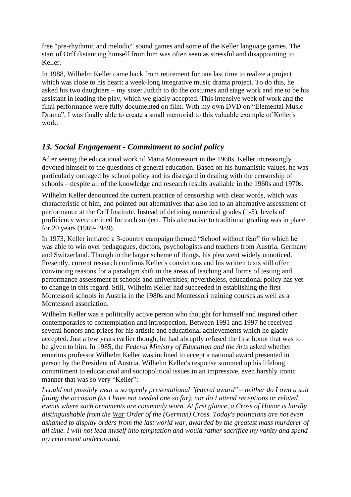free "pre-rhythmic and melodic" sound games and some of the Keller language games. The start of Orff distancing himself from him was often seen as stressful and disappointing to Keller.

In 1988, Wilhelm Keller came back from retirement for one last time to realize a project which was close to his heart: a week-long integrative music drama project. To do this, he asked his two daughters – my sister Judith to do the costumes and stage work and me to be his assistant in leading the play, which we gladly accepted. This intensive week of work and the final performance were fully documented on film. With my own DVD on "Elemental Music Drama", I was finally able to create a small memorial to this valuable example of Keller's work.

## *13. Social Engagement - Commitment to social policy*

After seeing the educational work of Maria Montessori in the 1960s, Keller increasingly devoted himself to the questions of general education. Based on his humanistic values, he was particularly outraged by school policy and its disregard in dealing with the censorship of schools – despite all of the knowledge and research results available in the 1960s and 1970s.

Wilhelm Keller denounced the current practice of censorship with clear words, which was characteristic of him, and pointed out alternatives that also led to an alternative assessment of performance at the Orff Institute. Instead of defining numerical grades (1-5), levels of proficiency were defined for each subject. This alternative to traditional grading was in place for 20 years (1969-1989).

In 1973, Keller initiated a 3-country campaign themed "School without fear" for which he was able to win over pedagogues, doctors, psychologists and teachers from Austria, Germany and Switzerland. Though in the larger scheme of things, his plea went widely unnoticed. Presently, current research confirms Keller's convictions and his written texts still offer convincing reasons for a paradigm shift in the areas of teaching and forms of testing and performance assessment at schools and universities; nevertheless, educational policy has yet to change in this regard. Still, Wilhelm Keller had succeeded in establishing the first Montessori schools in Austria in the 1980s and Montessori training courses as well as a Montessori association.

Wilhelm Keller was a politically active person who thought for himself and inspired other contemporaries to contemplation and introspection. Between 1991 and 1997 he received several honors and prizes for his artistic and educational achievements which he gladly accepted. Just a few years earlier though, he had abruptly refused the first honor that was to be given to him. In 1985, the *Federal Ministry of Education and the Arts* asked whether emeritus professor Wilhelm Keller was inclined to accept a national award presented in person by the President of Austria. Wilhelm Keller's response summed up his lifelong commitment to educational and sociopolitical issues in an impressive, even harshly ironic manner that was so very "Keller":

*I could not possibly wear a so openly presentational "federal award" – neither do I own a suit fitting the occasion (as I have not needed one so far), nor do I attend receptions or related events where such ornaments are commonly worn. At first glance, a Cross of Honor is hardly distinguishable from the War Order of the (German) Cross. Today's politicians are not even ashamed to display orders from the last world war, awarded by the greatest mass murderer of all time. I will not lead myself into temptation and would rather sacrifice my vanity and spend my retirement undecorated.*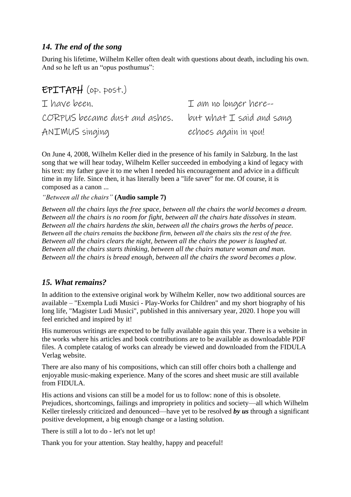## *14. The end of the song*

During his lifetime, Wilhelm Keller often dealt with questions about death, including his own. And so he left us an "opus posthumus":

| $EPTTAPH$ (op. post.)         |                                     |
|-------------------------------|-------------------------------------|
| I have been.                  | $\mathcal I$ am no longer here--    |
| CORPUS became dust and ashes. | but what $\mathcal I$ said and sang |
| ANIMUS singing                | echoes again in you!                |

On June 4, 2008, Wilhelm Keller died in the presence of his family in Salzburg. In the last song that we will hear today, Wilhelm Keller succeeded in embodying a kind of legacy with his text: my father gave it to me when I needed his encouragement and advice in a difficult time in my life. Since then, it has literally been a "life saver" for me. Of course, it is composed as a canon ...

*"Between all the chairs"* **(Audio sample 7)** 

*Between all the chairs lays the free space, between all the chairs the world becomes a dream. Between all the chairs is no room for fight, between all the chairs hate dissolves in steam. Between all the chairs hardens the skin, between all the chairs grows the herbs of peace. Between all the chairs remains the backbone firm, between all the chairs sits the rest of the free. Between all the chairs clears the night, between all the chairs the power is laughed at. Between all the chairs starts thinking, between all the chairs mature woman and man. Between all the chairs is bread enough, between all the chairs the sword becomes a plow.*

#### *15. What remains?*

In addition to the extensive original work by Wilhelm Keller, now two additional sources are available – "Exempla Ludi Musici - Play-Works for Children" and my short biography of his long life, "Magister Ludi Musici", published in this anniversary year, 2020. I hope you will feel enriched and inspired by it!

His numerous writings are expected to be fully available again this year. There is a website in the works where his articles and book contributions are to be available as downloadable PDF files. A complete catalog of works can already be viewed and downloaded from the FIDULA Verlag website.

There are also many of his compositions, which can still offer choirs both a challenge and enjoyable music-making experience. Many of the scores and sheet music are still available from FIDULA.

His actions and visions can still be a model for us to follow: none of this is obsolete. Prejudices, shortcomings, failings and impropriety in politics and society—all which Wilhelm Keller tirelessly criticized and denounced—have yet to be resolved *by us* through a significant positive development, a big enough change or a lasting solution.

There is still a lot to do - let's not let up!

Thank you for your attention. Stay healthy, happy and peaceful!